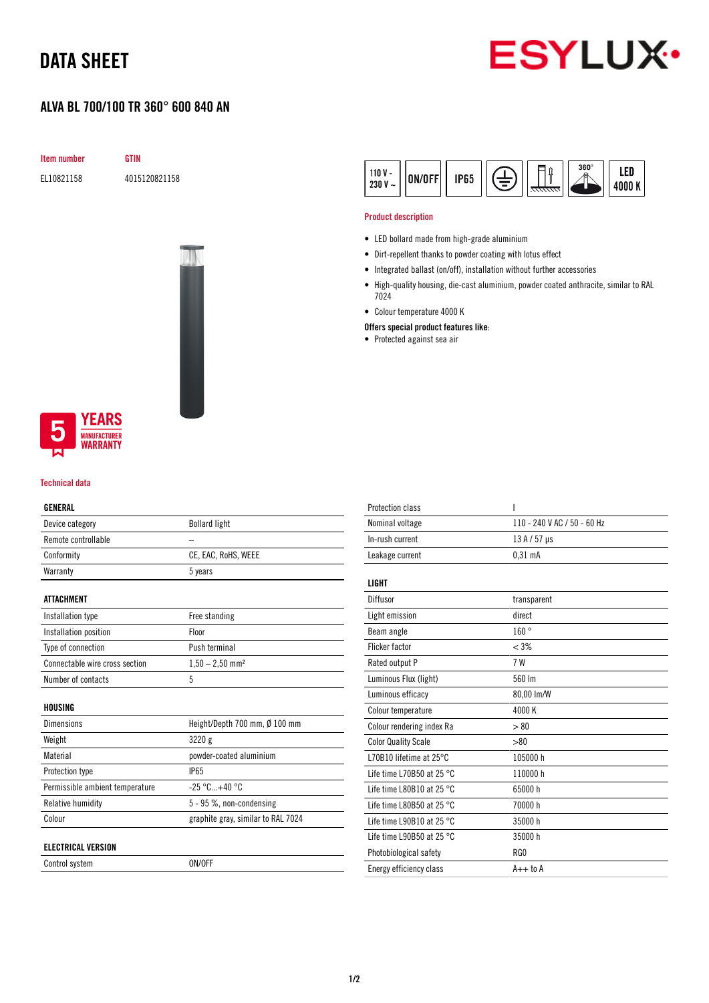## DATA SHEET

### ALVA BL 700/100 TR 360° 600 840 AN



Item number GTIN

EL10821158 4015120821158





#### Technical data

#### GENERAL

| Device category                 | <b>Bollard light</b>               |
|---------------------------------|------------------------------------|
| Remote controllable             |                                    |
| Conformity                      | CE, EAC, RoHS, WEEE                |
| Warranty                        | 5 years                            |
|                                 |                                    |
| ATTACHMENT                      |                                    |
| Installation type               | Free standing                      |
| Installation position           | Floor                              |
| Type of connection              | Push terminal                      |
| Connectable wire cross section  | $1,50 - 2,50$ mm <sup>2</sup>      |
| Number of contacts              | 5                                  |
|                                 |                                    |
| HOUSING                         |                                    |
| <b>Dimensions</b>               | Height/Depth 700 mm, Ø 100 mm      |
| Weight                          | 3220 g                             |
| Material                        | powder-coated aluminium            |
| Protection type                 | <b>IP65</b>                        |
| Permissible ambient temperature | $-25 °C+40 °C$                     |
| <b>Relative humidity</b>        | 5 - 95 %, non-condensing           |
| Colour                          | graphite gray, similar to RAL 7024 |
|                                 |                                    |
| ELECTRICAL VERSION              |                                    |

Control system ON/OFF

| LED<br>$110V -$<br><b>IP65</b><br>ON/OFF<br>230 V<br>4000 K<br>$\tilde{\phantom{a}}$ |
|--------------------------------------------------------------------------------------|
|--------------------------------------------------------------------------------------|

#### Product description

- LED bollard made from high-grade aluminium
- Dirt-repellent thanks to powder coating with lotus effect
- Integrated ballast (on/off), installation without further accessories
- High-quality housing, die-cast aluminium, powder coated anthracite, similar to RAL 7024
- Colour temperature 4000 K

#### Offers special product features like:

• Protected against sea air

| <b>Protection class</b>             | ı                           |
|-------------------------------------|-----------------------------|
| Nominal voltage                     | 110 - 240 V AC / 50 - 60 Hz |
| In-rush current                     | $13A/57$ µs                 |
| Leakage current                     | $0.31$ mA                   |
|                                     |                             |
| <b>LIGHT</b>                        |                             |
| Diffusor                            | transparent                 |
| Light emission                      | direct                      |
| Beam angle                          | 160°                        |
| <b>Flicker factor</b>               | $< 3\%$                     |
| Rated output P                      | 7 W                         |
| Luminous Flux (light)               | 560 lm                      |
| Luminous efficacy                   | 80,00 lm/W                  |
| Colour temperature                  | 4000 K                      |
| Colour rendering index Ra           | > 80                        |
| <b>Color Quality Scale</b>          | > 80                        |
| L70B10 lifetime at $25^{\circ}$ C   | 105000h                     |
| Life time L70B50 at 25 $^{\circ}$ C | 110000h                     |
| Life time L80B10 at 25 $^{\circ}$ C | 65000h                      |
| Life time L80B50 at 25 $^{\circ}$ C | 70000 h                     |
| Life time L90B10 at 25 $^{\circ}$ C | 35000 h                     |
| Life time L90B50 at 25 °C           | 35000h                      |
| Photobiological safety              | RG <sub>0</sub>             |
| Energy efficiency class             | $A++$ to $A$                |